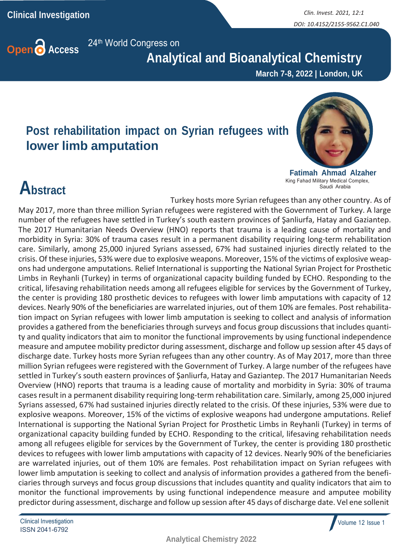

 **Analytical and Bioanalytical Chemistry**

**March 7-8, 2022 | London, UK**

#### **Post rehabilitation impact on Syrian refugees with lower limb amputation**



**Fatimah Ahmad Alzaher** King Fahad Military Medical Complex, Saudi Arabia

## **Abstract**

Turkey hosts more Syrian refugees than any other country. As of May 2017, more than three million Syrian refugees were registered with the Government of Turkey. A large number of the refugees have settled in Turkey's south eastern provinces of Şanliurfa, Hatay and Gaziantep. The 2017 Humanitarian Needs Overview (HNO) reports that trauma is a leading cause of mortality and morbidity in Syria: 30% of trauma cases result in a permanent disability requiring long-term rehabilitation care. Similarly, among 25,000 injured Syrians assessed, 67% had sustained injuries directly related to the crisis. Of these injuries, 53% were due to explosive weapons. Moreover, 15% of the victims of explosive weapons had undergone amputations. Relief International is supporting the National Syrian Project for Prosthetic Limbs in Reyhanli (Turkey) in terms of organizational capacity building funded by ECHO. Responding to the critical, lifesaving rehabilitation needs among all refugees eligible for services by the Government of Turkey, the center is providing 180 prosthetic devices to refugees with lower limb amputations with capacity of 12 devices. Nearly 90% of the beneficiaries are warrelated injuries, out of them 10% are females. Post rehabilitation impact on Syrian refugees with lower limb amputation is seeking to collect and analysis of information provides a gathered from the beneficiaries through surveys and focus group discussions that includes quantity and quality indicators that aim to monitor the functional improvements by using functional independence measure and amputee mobility predictor during assessment, discharge and follow up session after 45 days of discharge date. Turkey hosts more Syrian refugees than any other country. As of May 2017, more than three million Syrian refugees were registered with the Government of Turkey. A large number of the refugees have settled in Turkey's south eastern provinces of Şanliurfa, Hatay and Gaziantep. The 2017 Humanitarian Needs Overview (HNO) reports that trauma is a leading cause of mortality and morbidity in Syria: 30% of trauma casesresult in a permanent disability requiring long-term rehabilitation care. Similarly, among 25,000 injured Syrians assessed, 67% had sustained injuries directly related to the crisis. Of these injuries, 53% were due to explosive weapons. Moreover, 15% of the victims of explosive weapons had undergone amputations. Relief International is supporting the National Syrian Project for Prosthetic Limbs in Reyhanli (Turkey) in terms of organizational capacity building funded by ECHO. Responding to the critical, lifesaving rehabilitation needs among all refugees eligible for services by the Government of Turkey, the center is providing 180 prosthetic devices to refugees with lower limb amputations with capacity of 12 devices. Nearly 90% of the beneficiaries are warrelated injuries, out of them 10% are females. Post rehabilitation impact on Syrian refugees with lower limb amputation is seeking to collect and analysis of information provides a gathered from the beneficiaries through surveys and focus group discussions that includes quantity and quality indicators that aim to monitor the functional improvements by using functional independence measure and amputee mobility predictor during assessment, discharge and follow up session after 45 days of discharge date. Vel ene sollenit